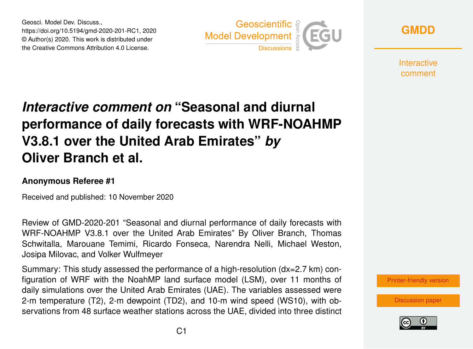Geosci. Model Dev. Discuss., https://doi.org/10.5194/gmd-2020-201-RC1, 2020 © Author(s) 2020. This work is distributed under the Creative Commons Attribution 4.0 License.



**[GMDD](https://gmd.copernicus.org/preprints/)**

**Interactive** comment

## *Interactive comment on* **"Seasonal and diurnal performance of daily forecasts with WRF-NOAHMP V3.8.1 over the United Arab Emirates"** *by* **Oliver Branch et al.**

## **Anonymous Referee #1**

Received and published: 10 November 2020

Review of GMD-2020-201 "Seasonal and diurnal performance of daily forecasts with WRF-NOAHMP V3.8.1 over the United Arab Emirates" By Oliver Branch, Thomas Schwitalla, Marouane Temimi, Ricardo Fonseca, Narendra Nelli, Michael Weston, Josipa Milovac, and Volker Wulfmeyer

Summary: This study assessed the performance of a high-resolution (dx=2.7 km) configuration of WRF with the NoahMP land surface model (LSM), over 11 months of daily simulations over the United Arab Emirates (UAE). The variables assessed were 2-m temperature (T2), 2-m dewpoint (TD2), and 10-m wind speed (WS10), with observations from 48 surface weather stations across the UAE, divided into three distinct

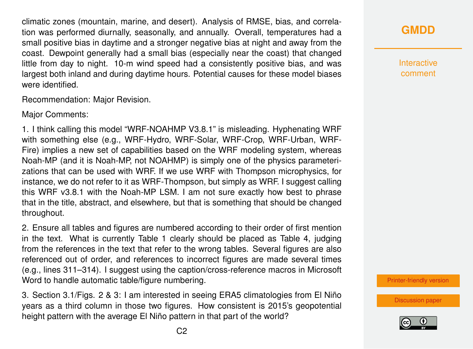climatic zones (mountain, marine, and desert). Analysis of RMSE, bias, and correlation was performed diurnally, seasonally, and annually. Overall, temperatures had a small positive bias in daytime and a stronger negative bias at night and away from the coast. Dewpoint generally had a small bias (especially near the coast) that changed little from day to night. 10-m wind speed had a consistently positive bias, and was largest both inland and during daytime hours. Potential causes for these model biases were identified.

Recommendation: Major Revision.

Major Comments:

1. I think calling this model "WRF-NOAHMP V3.8.1" is misleading. Hyphenating WRF with something else (e.g., WRF-Hydro, WRF-Solar, WRF-Crop, WRF-Urban, WRF-Fire) implies a new set of capabilities based on the WRF modeling system, whereas Noah-MP (and it is Noah-MP, not NOAHMP) is simply one of the physics parameterizations that can be used with WRF. If we use WRF with Thompson microphysics, for instance, we do not refer to it as WRF-Thompson, but simply as WRF. I suggest calling this WRF v3.8.1 with the Noah-MP LSM. I am not sure exactly how best to phrase that in the title, abstract, and elsewhere, but that is something that should be changed throughout.

2. Ensure all tables and figures are numbered according to their order of first mention in the text. What is currently Table 1 clearly should be placed as Table 4, judging from the references in the text that refer to the wrong tables. Several figures are also referenced out of order, and references to incorrect figures are made several times (e.g., lines 311–314). I suggest using the caption/cross-reference macros in Microsoft Word to handle automatic table/figure numbering.

3. Section 3.1/Figs. 2 & 3: I am interested in seeing ERA5 climatologies from El Niño years as a third column in those two figures. How consistent is 2015's geopotential height pattern with the average El Niño pattern in that part of the world?

**Interactive** comment

[Printer-friendly version](https://gmd.copernicus.org/preprints/gmd-2020-201/gmd-2020-201-RC1-print.pdf)

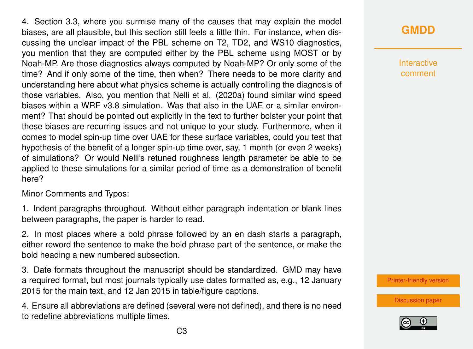4. Section 3.3, where you surmise many of the causes that may explain the model biases, are all plausible, but this section still feels a little thin. For instance, when discussing the unclear impact of the PBL scheme on T2, TD2, and WS10 diagnostics, you mention that they are computed either by the PBL scheme using MOST or by Noah-MP. Are those diagnostics always computed by Noah-MP? Or only some of the time? And if only some of the time, then when? There needs to be more clarity and understanding here about what physics scheme is actually controlling the diagnosis of those variables. Also, you mention that Nelli et al. (2020a) found similar wind speed biases within a WRF v3.8 simulation. Was that also in the UAE or a similar environment? That should be pointed out explicitly in the text to further bolster your point that these biases are recurring issues and not unique to your study. Furthermore, when it comes to model spin-up time over UAE for these surface variables, could you test that hypothesis of the benefit of a longer spin-up time over, say, 1 month (or even 2 weeks) of simulations? Or would Nelli's retuned roughness length parameter be able to be applied to these simulations for a similar period of time as a demonstration of benefit here?

Minor Comments and Typos:

1. Indent paragraphs throughout. Without either paragraph indentation or blank lines between paragraphs, the paper is harder to read.

2. In most places where a bold phrase followed by an en dash starts a paragraph, either reword the sentence to make the bold phrase part of the sentence, or make the bold heading a new numbered subsection.

3. Date formats throughout the manuscript should be standardized. GMD may have a required format, but most journals typically use dates formatted as, e.g., 12 January 2015 for the main text, and 12 Jan 2015 in table/figure captions.

4. Ensure all abbreviations are defined (several were not defined), and there is no need to redefine abbreviations multiple times.

**Interactive** comment

[Printer-friendly version](https://gmd.copernicus.org/preprints/gmd-2020-201/gmd-2020-201-RC1-print.pdf)

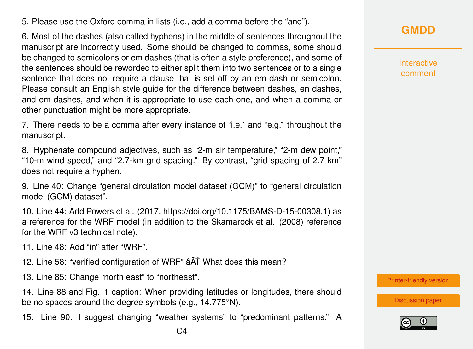5. Please use the Oxford comma in lists (i.e., add a comma before the "and").

6. Most of the dashes (also called hyphens) in the middle of sentences throughout the manuscript are incorrectly used. Some should be changed to commas, some should be changed to semicolons or em dashes (that is often a style preference), and some of the sentences should be reworded to either split them into two sentences or to a single sentence that does not require a clause that is set off by an em dash or semicolon. Please consult an English style guide for the difference between dashes, en dashes, and em dashes, and when it is appropriate to use each one, and when a comma or other punctuation might be more appropriate.

7. There needs to be a comma after every instance of "i.e." and "e.g." throughout the manuscript.

8. Hyphenate compound adjectives, such as "2-m air temperature," "2-m dew point," "10-m wind speed," and "2.7-km grid spacing." By contrast, "grid spacing of 2.7 km" does not require a hyphen.

9. Line 40: Change "general circulation model dataset (GCM)" to "general circulation model (GCM) dataset".

10. Line 44: Add Powers et al. (2017, https://doi.org/10.1175/BAMS-D-15-00308.1) as a reference for the WRF model (in addition to the Skamarock et al. (2008) reference for the WRF v3 technical note).

11. Line 48: Add "in" after "WRF".

- 12. Line 58: "verified configuration of WRF"  $\hat{a}$  ATT What does this mean?
- 13. Line 85: Change "north east" to "northeast".

14. Line 88 and Fig. 1 caption: When providing latitudes or longitudes, there should be no spaces around the degree symbols (e.g., 14.775°N).

15. Line 90: I suggest changing "weather systems" to "predominant patterns." A

Interactive comment

[Printer-friendly version](https://gmd.copernicus.org/preprints/gmd-2020-201/gmd-2020-201-RC1-print.pdf)

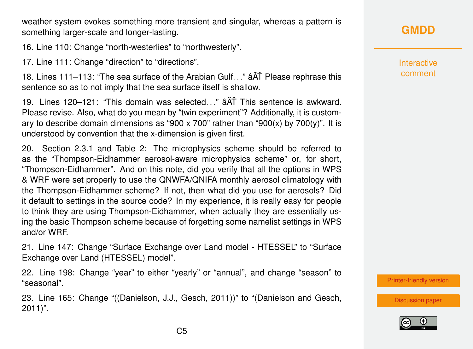weather system evokes something more transient and singular, whereas a pattern is something larger-scale and longer-lasting.

16. Line 110: Change "north-westerlies" to "northwesterly".

17. Line 111: Change "direction" to "directions".

18. Lines 111–113: "The sea surface of the Arabian Gulf. . ."  $\hat{A}$ AT Please rephrase this sentence so as to not imply that the sea surface itself is shallow.

19. Lines 120–121: "This domain was selected..."  $\hat{A}$  and This sentence is awkward. Please revise. Also, what do you mean by "twin experiment"? Additionally, it is customary to describe domain dimensions as "900 x 700" rather than "900(x) by 700(y)". It is understood by convention that the x-dimension is given first.

20. Section 2.3.1 and Table 2: The microphysics scheme should be referred to as the "Thompson-Eidhammer aerosol-aware microphysics scheme" or, for short, "Thompson-Eidhammer". And on this note, did you verify that all the options in WPS & WRF were set properly to use the QNWFA/QNIFA monthly aerosol climatology with the Thompson-Eidhammer scheme? If not, then what did you use for aerosols? Did it default to settings in the source code? In my experience, it is really easy for people to think they are using Thompson-Eidhammer, when actually they are essentially using the basic Thompson scheme because of forgetting some namelist settings in WPS and/or WRF.

21. Line 147: Change "Surface Exchange over Land model - HTESSEL" to "Surface Exchange over Land (HTESSEL) model".

22. Line 198: Change "year" to either "yearly" or "annual", and change "season" to "seasonal".

23. Line 165: Change "((Danielson, J.J., Gesch, 2011))" to "(Danielson and Gesch, 2011)".

## **[GMDD](https://gmd.copernicus.org/preprints/)**

Interactive comment

[Printer-friendly version](https://gmd.copernicus.org/preprints/gmd-2020-201/gmd-2020-201-RC1-print.pdf)

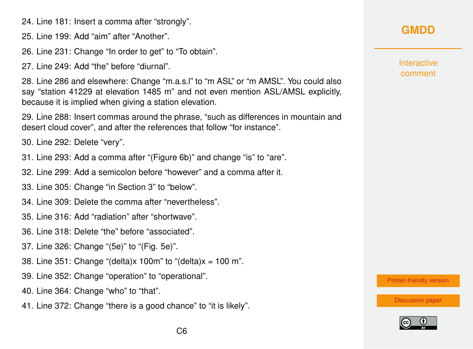24. Line 181: Insert a comma after "strongly".

25. Line 199: Add "aim" after "Another".

26. Line 231: Change "In order to get" to "To obtain".

27. Line 249: Add "the" before "diurnal".

28. Line 286 and elsewhere: Change "m.a.s.l" to "m ASL" or "m AMSL". You could also say "station 41229 at elevation 1485 m" and not even mention ASL/AMSL explicitly, because it is implied when giving a station elevation.

29. Line 288: Insert commas around the phrase, "such as differences in mountain and desert cloud cover", and after the references that follow "for instance".

30. Line 292: Delete "very".

- 31. Line 293: Add a comma after "(Figure 6b)" and change "is" to "are".
- 32. Line 299: Add a semicolon before "however" and a comma after it.
- 33. Line 305: Change "in Section 3" to "below".
- 34. Line 309: Delete the comma after "nevertheless".
- 35. Line 316: Add "radiation" after "shortwave".
- 36. Line 318: Delete "the" before "associated".
- 37. Line 326: Change "(5e)" to "(Fig. 5e)".
- 38. Line 351: Change "(delta)x 100m" to "(delta)x = 100 m".
- 39. Line 352: Change "operation" to "operational".
- 40. Line 364: Change "who" to "that".
- 41. Line 372: Change "there is a good chance" to "it is likely".

## **[GMDD](https://gmd.copernicus.org/preprints/)**

**Interactive** comment

[Printer-friendly version](https://gmd.copernicus.org/preprints/gmd-2020-201/gmd-2020-201-RC1-print.pdf)